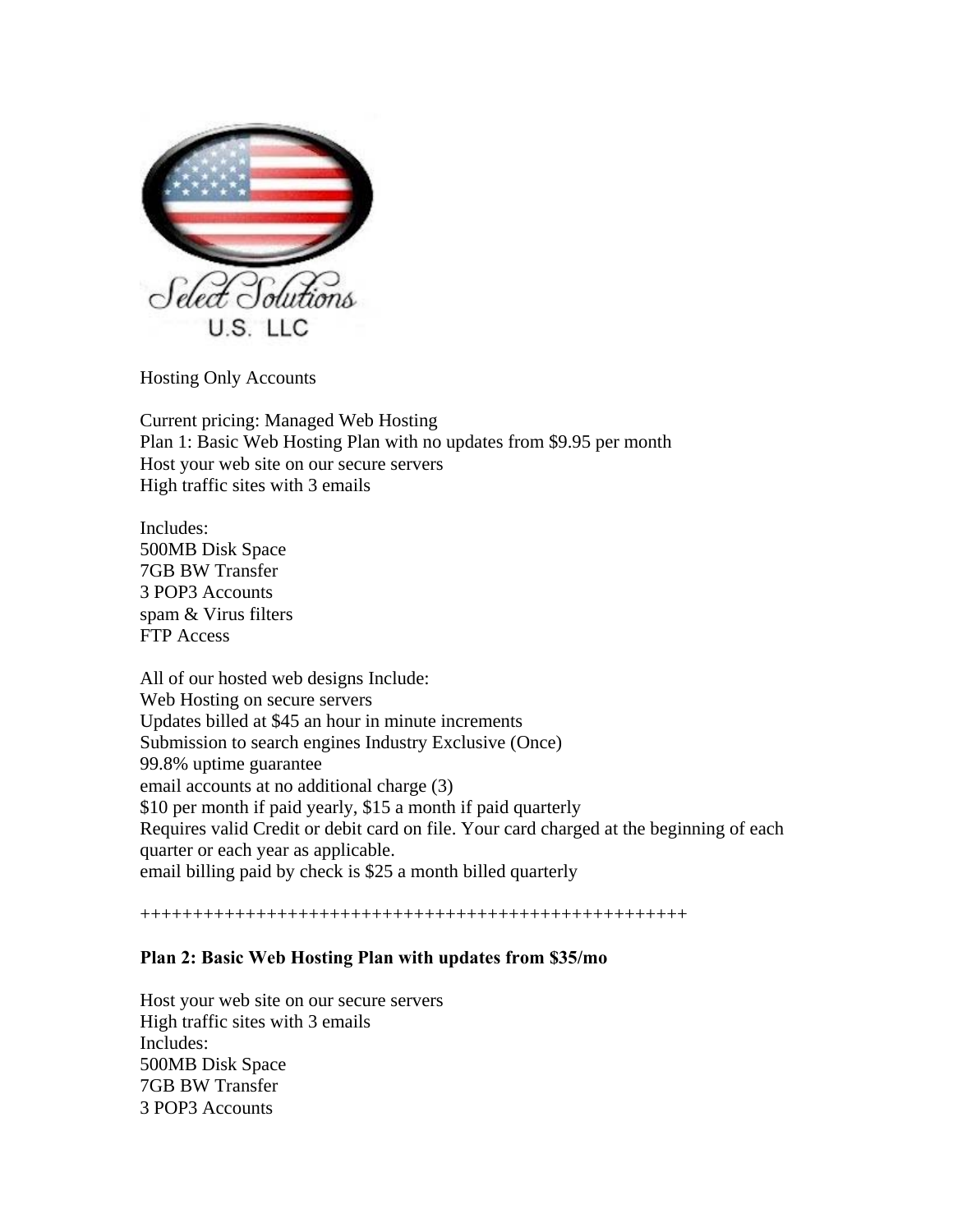

Hosting Only Accounts

Current pricing: Managed Web Hosting Plan 1: Basic Web Hosting Plan with no updates from \$9.95 per month Host your web site on our secure servers High traffic sites with 3 emails

Includes: 500MB Disk Space 7GB BW Transfer 3 POP3 Accounts spam & Virus filters FTP Access

All of our hosted web designs Include: Web Hosting on secure servers Updates billed at \$45 an hour in minute increments Submission to search engines Industry Exclusive (Once) 99.8% uptime guarantee email accounts at no additional charge (3) \$10 per month if paid yearly, \$15 a month if paid quarterly Requires valid Credit or debit card on file. Your card charged at the beginning of each quarter or each year as applicable. email billing paid by check is \$25 a month billed quarterly

++++++++++++++++++++++++++++++++++++++++++++++++++++

## **Plan 2: Basic Web Hosting Plan with updates from \$35/mo**

Host your web site on our secure servers High traffic sites with 3 emails Includes: 500MB Disk Space 7GB BW Transfer 3 POP3 Accounts